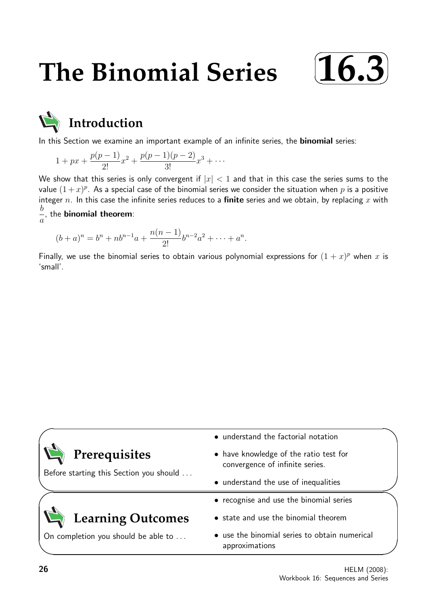# **The Binomial Series**





In this Section we examine an important example of an infinite series, the **binomial** series:

$$
1+px+\frac{p(p-1)}{2!}x^2+\frac{p(p-1)(p-2)}{3!}x^3+\cdots
$$

We show that this series is only convergent if  $|x| < 1$  and that in this case the series sums to the value  $(1+x)^p$ . As a special case of the binomial series we consider the situation when  $p$  is a positive integer n. In this case the infinite series reduces to a finite series and we obtain, by replacing x with b a , the binomial theorem:

$$
(b+a)^n = b^n + nb^{n-1}a + \frac{n(n-1)}{2!}b^{n-2}a^2 + \dots + a^n.
$$

Finally, we use the binomial series to obtain various polynomial expressions for  $(1+x)^p$  when x is 'small'.

|                                                          | • understand the factorial notation                                       |  |
|----------------------------------------------------------|---------------------------------------------------------------------------|--|
| Prerequisites<br>Before starting this Section you should | • have knowledge of the ratio test for<br>convergence of infinite series. |  |
|                                                          | • understand the use of inequalities                                      |  |
|                                                          | • recognise and use the binomial series                                   |  |
| <b>Learning Outcomes</b>                                 | • state and use the binomial theorem                                      |  |
| On completion you should be able to                      | • use the binomial series to obtain numerical<br>approximations           |  |
|                                                          |                                                                           |  |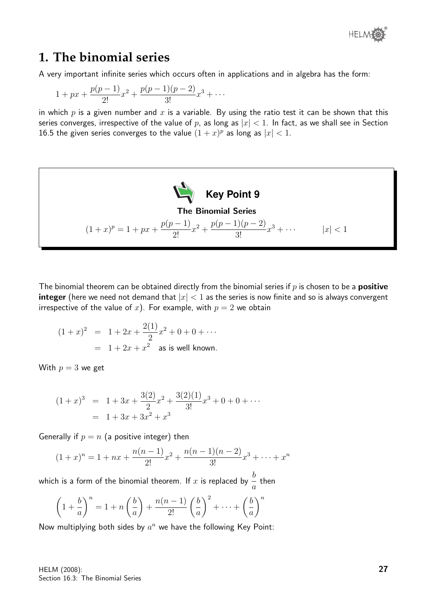## **1. The binomial series**

A very important infinite series which occurs often in applications and in algebra has the form:

$$
1+px+\frac{p(p-1)}{2!}x^2+\frac{p(p-1)(p-2)}{3!}x^3+\cdots
$$

in which p is a given number and x is a variable. By using the ratio test it can be shown that this series converges, irrespective of the value of p, as long as  $|x| < 1$ . In fact, as we shall see in Section 16.5 the given series converges to the value  $(1+x)^p$  as long as  $|x| < 1$ .



The binomial theorem can be obtained directly from the binomial series if  $p$  is chosen to be a **positive integer** (here we need not demand that  $|x| < 1$  as the series is now finite and so is always convergent irrespective of the value of x). For example, with  $p = 2$  we obtain

$$
(1+x)^2 = 1 + 2x + \frac{2(1)}{2}x^2 + 0 + 0 + \cdots
$$
  
= 1 + 2x + x<sup>2</sup> as is well known.

With  $p = 3$  we get

$$
(1+x)^3 = 1 + 3x + \frac{3(2)}{2}x^2 + \frac{3(2)(1)}{3!}x^3 + 0 + 0 + \cdots
$$
  
= 1 + 3x + 3x<sup>2</sup> + x<sup>3</sup>

Generally if  $p = n$  (a positive integer) then

$$
(1+x)^n = 1 + nx + \frac{n(n-1)}{2!}x^2 + \frac{n(n-1)(n-2)}{3!}x^3 + \dots + x^n
$$

which is a form of the binomial theorem. If  $x$  is replaced by  $\frac{b}{-}$ a then

$$
\left(1+\frac{b}{a}\right)^n = 1+n\left(\frac{b}{a}\right)+\frac{n(n-1)}{2!}\left(\frac{b}{a}\right)^2+\dots+\left(\frac{b}{a}\right)^n
$$

Now multiplying both sides by  $a^n$  we have the following Key Point: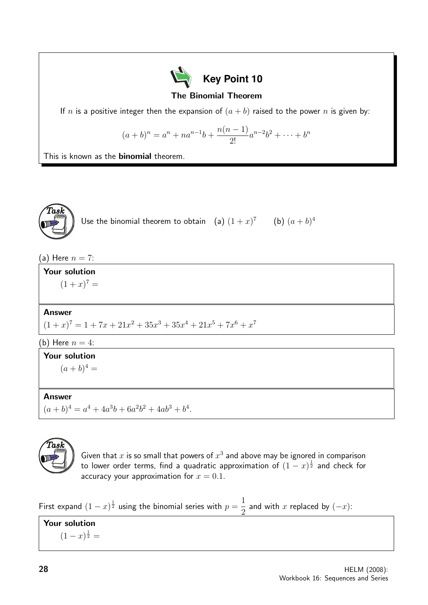

The Binomial Theorem

If n is a positive integer then the expansion of  $(a + b)$  raised to the power n is given by:

$$
(a+b)^n = a^n + na^{n-1}b + \frac{n(n-1)}{2!}a^{n-2}b^2 + \dots + b^n
$$

This is known as the **binomial** theorem.



Use the binomial theorem to obtain (a)  $(1+x)^7$  (b)  $(a+b)^4$ 

(a) Here  $n = 7$ :

Your solution  $(1+x)^7 =$ 

## Answer

 $(1+x)^7 = 1 + 7x + 21x^2 + 35x^3 + 35x^4 + 21x^5 + 7x^6 + x^7$ 

(b) Here  $n=4$ :

## Your solution

 $(a + b)^4 =$ 

## Answer

 $(a+b)^4 = a^4 + 4a^3b + 6a^2b^2 + 4ab^3 + b^4.$ 



Given that  $x$  is so small that powers of  $x^3$  and above may be ignored in comparison to lower order terms, find a quadratic approximation of  $(1-x)^{\frac{1}{2}}$  and check for accuracy your approximation for  $x = 0.1$ .

First expand  $(1-x)^{\frac{1}{2}}$  using the binomial series with  $p=$ 1 2 and with x replaced by  $(-x)$ :

Your solution  $(1-x)^{\frac{1}{2}} =$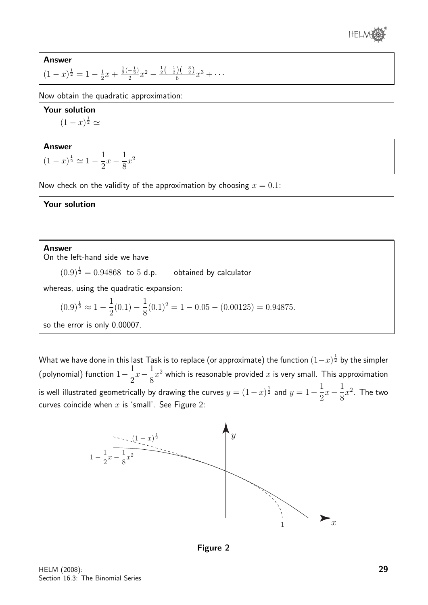

**Answer**  

$$
(1-x)^{\frac{1}{2}} = 1 - \frac{1}{2}x + \frac{\frac{1}{2}(-\frac{1}{2})}{2}x^2 - \frac{\frac{1}{2}(-\frac{1}{2})(-\frac{3}{2})}{6}x^3 + \cdots
$$

Now obtain the quadratic approximation:

Your solution  $(1-x)^{\frac{1}{2}} \simeq$ 

#### Answer  $(1-x)^{\frac{1}{2}} \simeq 1-\frac{1}{2}$ 2  $x-\frac{1}{2}$ 8  $x^2$

Now check on the validity of the approximation by choosing  $x = 0.1$ :

## Your solution

### Answer

On the left-hand side we have

 $(0.9)^{\frac{1}{2}} = 0.94868$  to 5 d.p. obtained by calculator

whereas, using the quadratic expansion:

$$
(0.9)^{\frac{1}{2}} \approx 1 - \frac{1}{2}(0.1) - \frac{1}{8}(0.1)^2 = 1 - 0.05 - (0.00125) = 0.94875.
$$

so the error is only 0.00007.

What we have done in this last Task is to replace (or approximate) the function  $(1\!-\!x)^{\frac{1}{2}}$  by the simpler (polynomial) function  $1-\frac{1}{2}$ 2  $x-\frac{1}{2}$ 8  $x^2$  which is reasonable provided  $x$  is very small. This approximation is well illustrated geometrically by drawing the curves  $y = (1-x)^{\frac{1}{2}}$  and  $y = 1-\frac{1}{2}$ 2  $x-\frac{1}{2}$ 8  $x^2$ . The two curves coincide when  $x$  is 'small'. See Figure 2:



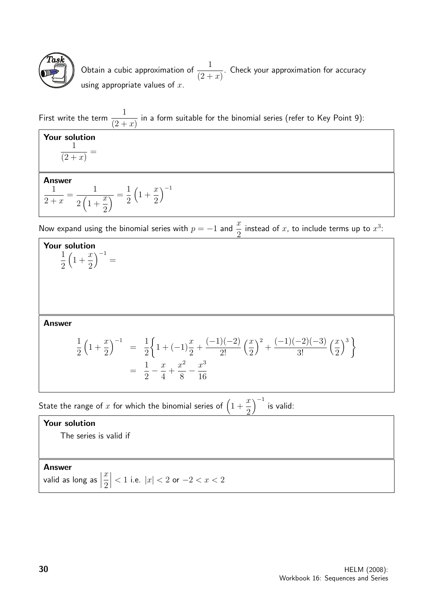

Obtain a cubic approximation of  $\frac{1}{10^{11}}$  $(2 + x)$ . Check your approximation for accuracy using appropriate values of  $x$ .

First write the term  $\frac{1}{\sqrt{2}}$  $(2 + x)$ in a form suitable for the binomial series (refer to Key Point 9):

Your solution 1  $(2 + x)$ = Answer 1  $2 + x$ = 1  $2(1 +$  $\overline{x}$ 2  $\overline{\phantom{a}}$  = 1 2  $\left(1 + \right)$  $\overline{x}$ 2  $\big)^{-1}$ 

Now expand using the binomial series with  $p = -1$  and  $\frac{x}{2}$ 2 instead of x, to include terms up to  $x^3$ :



Answer

$$
\frac{1}{2}\left(1+\frac{x}{2}\right)^{-1} = \frac{1}{2}\left\{1+(-1)\frac{x}{2}+\frac{(-1)(-2)}{2!}\left(\frac{x}{2}\right)^2+\frac{(-1)(-2)(-3)}{3!}\left(\frac{x}{2}\right)^3\right\}
$$
\n
$$
= \frac{1}{2}-\frac{x}{4}+\frac{x^2}{8}-\frac{x^3}{16}
$$

State the range of  $x$  for which the binomial series of  $\big(1\,+\,$  $\overline{x}$ 2  $\int^{-1}$  is valid:

## Your solution

The series is valid if

Answer

valid as long as  $\Big|$  $\overline{x}$ 2  $\begin{array}{c} \begin{array}{c} \begin{array}{c} \end{array} \\ \begin{array}{c} \end{array} \end{array} \end{array}$  $1$  i.e.  $|x|$  < 2 or −2 <  $x$  < 2